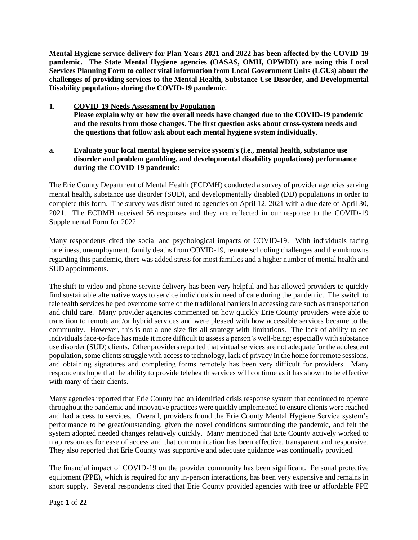**Mental Hygiene service delivery for Plan Years 2021 and 2022 has been affected by the COVID-19 pandemic. The State Mental Hygiene agencies (OASAS, OMH, OPWDD) are using this Local Services Planning Form to collect vital information from Local Government Units (LGUs) about the challenges of providing services to the Mental Health, Substance Use Disorder, and Developmental Disability populations during the COVID-19 pandemic.** 

- **1. COVID-19 Needs Assessment by Population Please explain why or how the overall needs have changed due to the COVID-19 pandemic and the results from those changes. The first question asks about cross-system needs and the questions that follow ask about each mental hygiene system individually.**
- **a. Evaluate your local mental hygiene service system's (i.e., mental health, substance use disorder and problem gambling, and developmental disability populations) performance during the COVID-19 pandemic:**

The Erie County Department of Mental Health (ECDMH) conducted a survey of provider agencies serving mental health, substance use disorder (SUD), and developmentally disabled (DD) populations in order to complete this form. The survey was distributed to agencies on April 12, 2021 with a due date of April 30, 2021. The ECDMH received 56 responses and they are reflected in our response to the COVID-19 Supplemental Form for 2022.

Many respondents cited the social and psychological impacts of COVID-19. With individuals facing loneliness, unemployment, family deaths from COVID-19, remote schooling challenges and the unknowns regarding this pandemic, there was added stress for most families and a higher number of mental health and SUD appointments.

The shift to video and phone service delivery has been very helpful and has allowed providers to quickly find sustainable alternative ways to service individuals in need of care during the pandemic. The switch to telehealth services helped overcome some of the traditional barriers in accessing care such as transportation and child care. Many provider agencies commented on how quickly Erie County providers were able to transition to remote and/or hybrid services and were pleased with how accessible services became to the community. However, this is not a one size fits all strategy with limitations. The lack of ability to see individuals face-to-face has made it more difficult to assess a person's well-being; especially with substance use disorder (SUD) clients. Other providers reported that virtual services are not adequate for the adolescent population, some clients struggle with access to technology, lack of privacy in the home for remote sessions, and obtaining signatures and completing forms remotely has been very difficult for providers. Many respondents hope that the ability to provide telehealth services will continue as it has shown to be effective with many of their clients.

Many agencies reported that Erie County had an identified crisis response system that continued to operate throughout the pandemic and innovative practices were quickly implemented to ensure clients were reached and had access to services. Overall, providers found the Erie County Mental Hygiene Service system's performance to be great/outstanding, given the novel conditions surrounding the pandemic, and felt the system adopted needed changes relatively quickly. Many mentioned that Erie County actively worked to map resources for ease of access and that communication has been effective, transparent and responsive. They also reported that Erie County was supportive and adequate guidance was continually provided.

The financial impact of COVID-19 on the provider community has been significant. Personal protective equipment (PPE), which is required for any in-person interactions, has been very expensive and remains in short supply. Several respondents cited that Erie County provided agencies with free or affordable PPE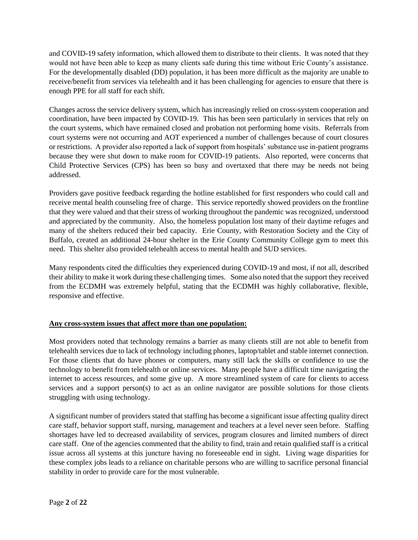and COVID-19 safety information, which allowed them to distribute to their clients. It was noted that they would not have been able to keep as many clients safe during this time without Erie County's assistance. For the developmentally disabled (DD) population, it has been more difficult as the majority are unable to receive/benefit from services via telehealth and it has been challenging for agencies to ensure that there is enough PPE for all staff for each shift.

Changes across the service delivery system, which has increasingly relied on cross-system cooperation and coordination, have been impacted by COVID-19. This has been seen particularly in services that rely on the court systems, which have remained closed and probation not performing home visits. Referrals from court systems were not occurring and AOT experienced a number of challenges because of court closures or restrictions. A provider also reported a lack of support from hospitals' substance use in-patient programs because they were shut down to make room for COVID-19 patients. Also reported, were concerns that Child Protective Services (CPS) has been so busy and overtaxed that there may be needs not being addressed.

Providers gave positive feedback regarding the hotline established for first responders who could call and receive mental health counseling free of charge. This service reportedly showed providers on the frontline that they were valued and that their stress of working throughout the pandemic was recognized, understood and appreciated by the community. Also, the homeless population lost many of their daytime refuges and many of the shelters reduced their bed capacity. Erie County, with Restoration Society and the City of Buffalo, created an additional 24-hour shelter in the Erie County Community College gym to meet this need. This shelter also provided telehealth access to mental health and SUD services.

Many respondents cited the difficulties they experienced during COVID-19 and most, if not all, described their ability to make it work during these challenging times. Some also noted that the support they received from the ECDMH was extremely helpful, stating that the ECDMH was highly collaborative, flexible, responsive and effective.

# **Any cross-system issues that affect more than one population:**

Most providers noted that technology remains a barrier as many clients still are not able to benefit from telehealth services due to lack of technology including phones, laptop/tablet and stable internet connection. For those clients that do have phones or computers, many still lack the skills or confidence to use the technology to benefit from telehealth or online services. Many people have a difficult time navigating the internet to access resources, and some give up. A more streamlined system of care for clients to access services and a support person(s) to act as an online navigator are possible solutions for those clients struggling with using technology.

A significant number of providers stated that staffing has become a significant issue affecting quality direct care staff, behavior support staff, nursing, management and teachers at a level never seen before. Staffing shortages have led to decreased availability of services, program closures and limited numbers of direct care staff. One of the agencies commented that the ability to find, train and retain qualified staff is a critical issue across all systems at this juncture having no foreseeable end in sight. Living wage disparities for these complex jobs leads to a reliance on charitable persons who are willing to sacrifice personal financial stability in order to provide care for the most vulnerable.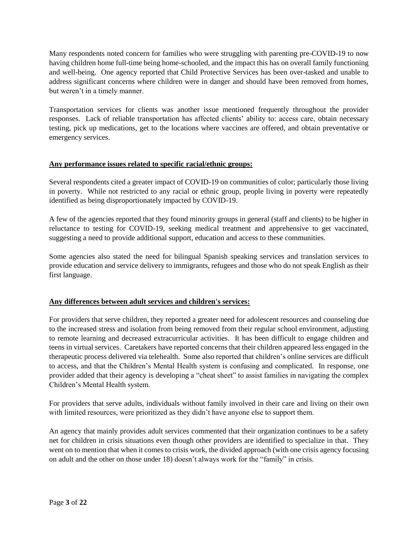Many respondents noted concern for families who were struggling with parenting pre-COVID-19 to now having children home full-time being home-schooled, and the impact this has on overall family functioning and well-being. One agency reported that Child Protective Services has been over-tasked and unable to address significant concerns where children were in danger and should have been removed from homes, but weren't in a timely manner.

Transportation services for clients was another issue mentioned frequently throughout the provider responses. Lack of reliable transportation has affected clients' ability to: access care, obtain necessary testing, pick up medications, get to the locations where vaccines are offered, and obtain preventative or emergency services.

# **Any performance issues related to specific racial/ethnic groups:**

Several respondents cited a greater impact of COVID-19 on communities of color; particularly those living in poverty. While not restricted to any racial or ethnic group, people living in poverty were repeatedly identified as being disproportionately impacted by COVID-19.

A few of the agencies reported that they found minority groups in general (staff and clients) to be higher in reluctance to testing for COVID-19, seeking medical treatment and apprehensive to get vaccinated, suggesting a need to provide additional support, education and access to these communities.

Some agencies also stated the need for bilingual Spanish speaking services and translation services to provide education and service delivery to immigrants, refugees and those who do not speak English as their first language.

# **Any differences between adult services and children's services:**

For providers that serve children, they reported a greater need for adolescent resources and counseling due to the increased stress and isolation from being removed from their regular school environment, adjusting to remote learning and decreased extracurricular activities. It has been difficult to engage children and teens in virtual services. Caretakers have reported concerns that their children appeared less engaged in the therapeutic process delivered via telehealth. Some also reported that children's online services are difficult to access, and that the Children's Mental Health system is confusing and complicated. In response, one provider added that their agency is developing a "cheat sheet" to assist families in navigating the complex Children's Mental Health system.

For providers that serve adults, individuals without family involved in their care and living on their own with limited resources, were prioritized as they didn't have anyone else to support them.

An agency that mainly provides adult services commented that their organization continues to be a safety net for children in crisis situations even though other providers are identified to specialize in that. They went on to mention that when it comes to crisis work, the divided approach (with one crisis agency focusing on adult and the other on those under 18) doesn't always work for the "family" in crisis.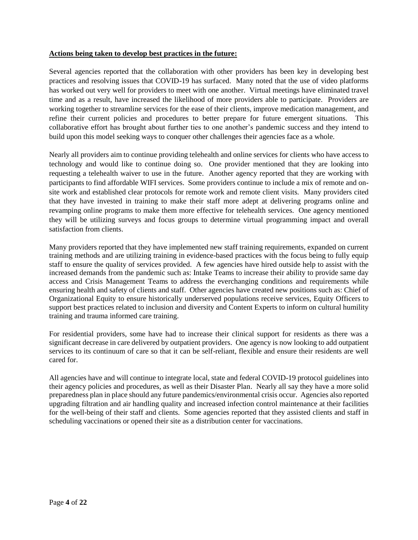#### **Actions being taken to develop best practices in the future:**

Several agencies reported that the collaboration with other providers has been key in developing best practices and resolving issues that COVID-19 has surfaced. Many noted that the use of video platforms has worked out very well for providers to meet with one another. Virtual meetings have eliminated travel time and as a result, have increased the likelihood of more providers able to participate. Providers are working together to streamline services for the ease of their clients, improve medication management, and refine their current policies and procedures to better prepare for future emergent situations. This collaborative effort has brought about further ties to one another's pandemic success and they intend to build upon this model seeking ways to conquer other challenges their agencies face as a whole.

Nearly all providers aim to continue providing telehealth and online services for clients who have access to technology and would like to continue doing so. One provider mentioned that they are looking into requesting a telehealth waiver to use in the future. Another agency reported that they are working with participants to find affordable WIFI services. Some providers continue to include a mix of remote and onsite work and established clear protocols for remote work and remote client visits. Many providers cited that they have invested in training to make their staff more adept at delivering programs online and revamping online programs to make them more effective for telehealth services. One agency mentioned they will be utilizing surveys and focus groups to determine virtual programming impact and overall satisfaction from clients.

Many providers reported that they have implemented new staff training requirements, expanded on current training methods and are utilizing training in evidence-based practices with the focus being to fully equip staff to ensure the quality of services provided. A few agencies have hired outside help to assist with the increased demands from the pandemic such as: Intake Teams to increase their ability to provide same day access and Crisis Management Teams to address the everchanging conditions and requirements while ensuring health and safety of clients and staff. Other agencies have created new positions such as: Chief of Organizational Equity to ensure historically underserved populations receive services, Equity Officers to support best practices related to inclusion and diversity and Content Experts to inform on cultural humility training and trauma informed care training.

For residential providers, some have had to increase their clinical support for residents as there was a significant decrease in care delivered by outpatient providers. One agency is now looking to add outpatient services to its continuum of care so that it can be self-reliant, flexible and ensure their residents are well cared for.

All agencies have and will continue to integrate local, state and federal COVID-19 protocol guidelines into their agency policies and procedures, as well as their Disaster Plan. Nearly all say they have a more solid preparedness plan in place should any future pandemics/environmental crisis occur. Agencies also reported upgrading filtration and air handling quality and increased infection control maintenance at their facilities for the well-being of their staff and clients. Some agencies reported that they assisted clients and staff in scheduling vaccinations or opened their site as a distribution center for vaccinations.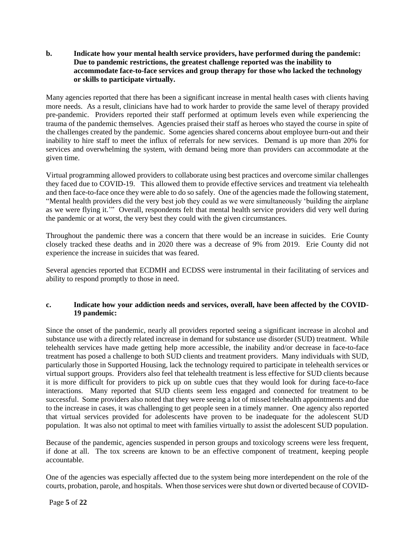## **b. Indicate how your mental health service providers, have performed during the pandemic: Due to pandemic restrictions, the greatest challenge reported was the inability to accommodate face-to-face services and group therapy for those who lacked the technology or skills to participate virtually.**

Many agencies reported that there has been a significant increase in mental health cases with clients having more needs. As a result, clinicians have had to work harder to provide the same level of therapy provided pre-pandemic. Providers reported their staff performed at optimum levels even while experiencing the trauma of the pandemic themselves. Agencies praised their staff as heroes who stayed the course in spite of the challenges created by the pandemic. Some agencies shared concerns about employee burn-out and their inability to hire staff to meet the influx of referrals for new services. Demand is up more than 20% for services and overwhelming the system, with demand being more than providers can accommodate at the given time.

Virtual programming allowed providers to collaborate using best practices and overcome similar challenges they faced due to COVID-19. This allowed them to provide effective services and treatment via telehealth and then face-to-face once they were able to do so safely. One of the agencies made the following statement, "Mental health providers did the very best job they could as we were simultaneously 'building the airplane as we were flying it.'" Overall, respondents felt that mental health service providers did very well during the pandemic or at worst, the very best they could with the given circumstances.

Throughout the pandemic there was a concern that there would be an increase in suicides. Erie County closely tracked these deaths and in 2020 there was a decrease of 9% from 2019. Erie County did not experience the increase in suicides that was feared.

Several agencies reported that ECDMH and ECDSS were instrumental in their facilitating of services and ability to respond promptly to those in need.

## **c. Indicate how your addiction needs and services, overall, have been affected by the COVID-19 pandemic:**

Since the onset of the pandemic, nearly all providers reported seeing a significant increase in alcohol and substance use with a directly related increase in demand for substance use disorder (SUD) treatment. While telehealth services have made getting help more accessible, the inability and/or decrease in face-to-face treatment has posed a challenge to both SUD clients and treatment providers. Many individuals with SUD, particularly those in Supported Housing, lack the technology required to participate in telehealth services or virtual support groups. Providers also feel that telehealth treatment is less effective for SUD clients because it is more difficult for providers to pick up on subtle cues that they would look for during face-to-face interactions. Many reported that SUD clients seem less engaged and connected for treatment to be successful. Some providers also noted that they were seeing a lot of missed telehealth appointments and due to the increase in cases, it was challenging to get people seen in a timely manner. One agency also reported that virtual services provided for adolescents have proven to be inadequate for the adolescent SUD population. It was also not optimal to meet with families virtually to assist the adolescent SUD population.

Because of the pandemic, agencies suspended in person groups and toxicology screens were less frequent, if done at all. The tox screens are known to be an effective component of treatment, keeping people accountable.

One of the agencies was especially affected due to the system being more interdependent on the role of the courts, probation, parole, and hospitals. When those services were shut down or diverted because of COVID-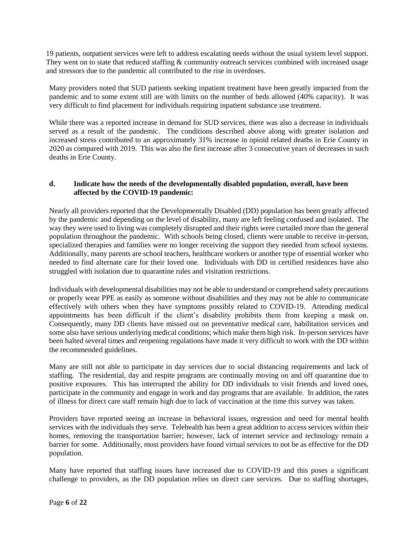19 patients, outpatient services were left to address escalating needs without the usual system level support. They went on to state that reduced staffing  $\&$  community outreach services combined with increased usage and stressors due to the pandemic all contributed to the rise in overdoses.

Many providers noted that SUD patients seeking inpatient treatment have been greatly impacted from the pandemic and to some extent still are with limits on the number of beds allowed (40% capacity). It was very difficult to find placement for individuals requiring inpatient substance use treatment.

While there was a reported increase in demand for SUD services, there was also a decrease in individuals served as a result of the pandemic. The conditions described above along with greater isolation and increased stress contributed to an approximately 31% increase in opioid related deaths in Erie County in 2020 as compared with 2019. This was also the first increase after 3 consecutive years of decreases in such deaths in Erie County.

# **d. Indicate how the needs of the developmentally disabled population, overall, have been affected by the COVID-19 pandemic:**

Nearly all providers reported that the Developmentally Disabled (DD) population has been greatly affected by the pandemic and depending on the level of disability, many are left feeling confused and isolated. The way they were used to living was completely disrupted and their rights were curtailed more than the general population throughout the pandemic. With schools being closed, clients were unable to receive in-person, specialized therapies and families were no longer receiving the support they needed from school systems. Additionally, many parents are school teachers, healthcare workers or another type of essential worker who needed to find alternate care for their loved one. Individuals with DD in certified residences have also struggled with isolation due to quarantine rules and visitation restrictions.

Individuals with developmental disabilities may not be able to understand or comprehend safety precautions or properly wear PPE as easily as someone without disabilities and they may not be able to communicate effectively with others when they have symptoms possibly related to COVID-19. Attending medical appointments has been difficult if the client's disability prohibits them from keeping a mask on. Consequently, many DD clients have missed out on preventative medical care, habilitation services and some also have serious underlying medical conditions; which make them high risk. In-person services have been halted several times and reopening regulations have made it very difficult to work with the DD within the recommended guidelines.

Many are still not able to participate in day services due to social distancing requirements and lack of staffing. The residential, day and respite programs are continually moving on and off quarantine due to positive exposures. This has interrupted the ability for DD individuals to visit friends and loved ones, participate in the community and engage in work and day programs that are available. In addition, the rates of illness for direct care staff remain high due to lack of vaccination at the time this survey was taken.

Providers have reported seeing an increase in behavioral issues, regression and need for mental health services with the individuals they serve. Telehealth has been a great addition to access services within their homes, removing the transportation barrier; however, lack of internet service and technology remain a barrier for some. Additionally, most providers have found virtual services to not be as effective for the DD population.

Many have reported that staffing issues have increased due to COVID-19 and this poses a significant challenge to providers, as the DD population relies on direct care services. Due to staffing shortages,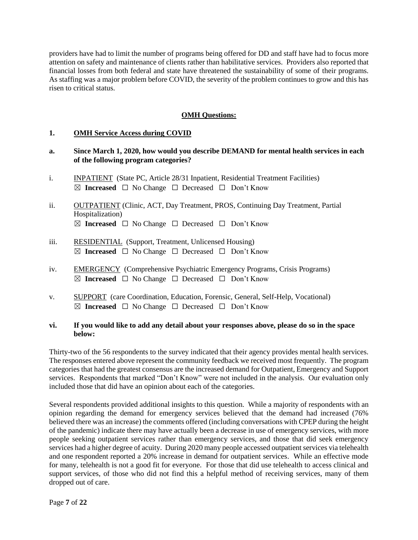providers have had to limit the number of programs being offered for DD and staff have had to focus more attention on safety and maintenance of clients rather than habilitative services. Providers also reported that financial losses from both federal and state have threatened the sustainability of some of their programs. As staffing was a major problem before COVID, the severity of the problem continues to grow and this has risen to critical status.

# **OMH Questions:**

## **1. OMH Service Access during COVID**

## **a. Since March 1, 2020, how would you describe DEMAND for mental health services in each of the following program categories?**

- i. INPATIENT (State PC, Article 28/31 Inpatient, Residential Treatment Facilities) ☒ **Increased** ☐ No Change ☐ Decreased ☐ Don't Know
- ii. OUTPATIENT (Clinic, ACT, Day Treatment, PROS, Continuing Day Treatment, Partial Hospitalization) ☒ **Increased** ☐ No Change ☐ Decreased ☐ Don't Know
- iii. RESIDENTIAL (Support, Treatment, Unlicensed Housing) ☒ **Increased** ☐ No Change ☐ Decreased ☐ Don't Know
- iv. EMERGENCY (Comprehensive Psychiatric Emergency Programs, Crisis Programs) ☒ **Increased** ☐ No Change ☐ Decreased ☐ Don't Know
- v. SUPPORT (care Coordination, Education, Forensic, General, Self-Help, Vocational) ☒ **Increased** ☐ No Change ☐ Decreased ☐ Don't Know

## **vi. If you would like to add any detail about your responses above, please do so in the space below:**

Thirty-two of the 56 respondents to the survey indicated that their agency provides mental health services. The responses entered above represent the community feedback we received most frequently. The program categories that had the greatest consensus are the increased demand for Outpatient, Emergency and Support services. Respondents that marked "Don't Know" were not included in the analysis. Our evaluation only included those that did have an opinion about each of the categories.

Several respondents provided additional insights to this question. While a majority of respondents with an opinion regarding the demand for emergency services believed that the demand had increased (76% believed there was an increase) the comments offered (including conversations with CPEP during the height of the pandemic) indicate there may have actually been a decrease in use of emergency services, with more people seeking outpatient services rather than emergency services, and those that did seek emergency services had a higher degree of acuity. During 2020 many people accessed outpatient services via telehealth and one respondent reported a 20% increase in demand for outpatient services. While an effective mode for many, telehealth is not a good fit for everyone. For those that did use telehealth to access clinical and support services, of those who did not find this a helpful method of receiving services, many of them dropped out of care.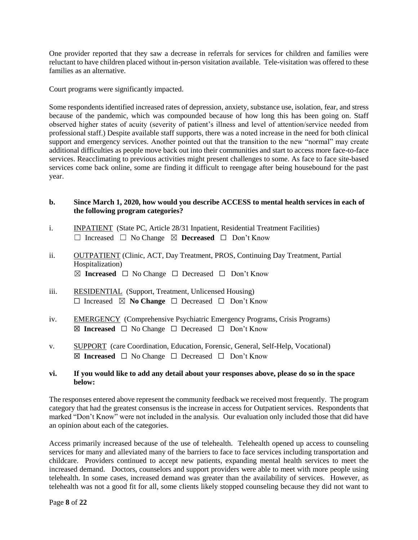One provider reported that they saw a decrease in referrals for services for children and families were reluctant to have children placed without in-person visitation available. Tele-visitation was offered to these families as an alternative.

Court programs were significantly impacted.

Some respondents identified increased rates of depression, anxiety, substance use, isolation, fear, and stress because of the pandemic, which was compounded because of how long this has been going on. Staff observed higher states of acuity (severity of patient's illness and level of attention/service needed from professional staff.) Despite available staff supports, there was a noted increase in the need for both clinical support and emergency services. Another pointed out that the transition to the new "normal" may create additional difficulties as people move back out into their communities and start to access more face-to-face services. Reacclimating to previous activities might present challenges to some. As face to face site-based services come back online, some are finding it difficult to reengage after being housebound for the past year.

## **b. Since March 1, 2020, how would you describe ACCESS to mental health services in each of the following program categories?**

- i. **INPATIENT** (State PC, Article 28/31 Inpatient, Residential Treatment Facilities) ☐ Increased ☐ No Change ☒ **Decreased** ☐ Don't Know
- ii. OUTPATIENT (Clinic, ACT, Day Treatment, PROS, Continuing Day Treatment, Partial Hospitalization) ☒ **Increased** ☐ No Change ☐ Decreased ☐ Don't Know
- iii. RESIDENTIAL (Support, Treatment, Unlicensed Housing) ☐ Increased ☒ **No Change** ☐ Decreased ☐ Don't Know
- iv. EMERGENCY (Comprehensive Psychiatric Emergency Programs, Crisis Programs) ☒ **Increased** ☐ No Change ☐ Decreased ☐ Don't Know
- v. SUPPORT (care Coordination, Education, Forensic, General, Self-Help, Vocational) ☒ **Increased** ☐ No Change ☐ Decreased ☐ Don't Know

# **vi. If you would like to add any detail about your responses above, please do so in the space below:**

The responses entered above represent the community feedback we received most frequently. The program category that had the greatest consensus is the increase in access for Outpatient services. Respondents that marked "Don't Know" were not included in the analysis. Our evaluation only included those that did have an opinion about each of the categories.

Access primarily increased because of the use of telehealth. Telehealth opened up access to counseling services for many and alleviated many of the barriers to face to face services including transportation and childcare. Providers continued to accept new patients, expanding mental health services to meet the increased demand. Doctors, counselors and support providers were able to meet with more people using telehealth. In some cases, increased demand was greater than the availability of services. However, as telehealth was not a good fit for all, some clients likely stopped counseling because they did not want to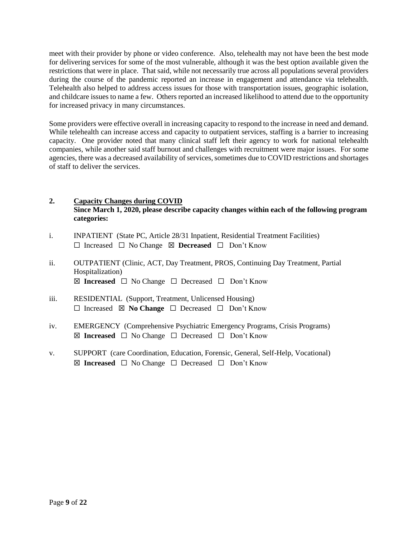meet with their provider by phone or video conference. Also, telehealth may not have been the best mode for delivering services for some of the most vulnerable, although it was the best option available given the restrictions that were in place. That said, while not necessarily true across all populations several providers during the course of the pandemic reported an increase in engagement and attendance via telehealth. Telehealth also helped to address access issues for those with transportation issues, geographic isolation, and childcare issues to name a few. Others reported an increased likelihood to attend due to the opportunity for increased privacy in many circumstances.

Some providers were effective overall in increasing capacity to respond to the increase in need and demand. While telehealth can increase access and capacity to outpatient services, staffing is a barrier to increasing capacity. One provider noted that many clinical staff left their agency to work for national telehealth companies, while another said staff burnout and challenges with recruitment were major issues. For some agencies, there was a decreased availability of services, sometimes due to COVID restrictions and shortages of staff to deliver the services.

# **2. Capacity Changes during COVID Since March 1, 2020, please describe capacity changes within each of the following program categories:**

- i. INPATIENT (State PC, Article 28/31 Inpatient, Residential Treatment Facilities) ☐ Increased ☐ No Change ☒ **Decreased** ☐ Don't Know
- ii. OUTPATIENT (Clinic, ACT, Day Treatment, PROS, Continuing Day Treatment, Partial Hospitalization) ☒ **Increased** ☐ No Change ☐ Decreased ☐ Don't Know
- iii. RESIDENTIAL (Support, Treatment, Unlicensed Housing) ☐ Increased ☒ **No Change** ☐ Decreased ☐ Don't Know
- iv. EMERGENCY (Comprehensive Psychiatric Emergency Programs, Crisis Programs) ☒ **Increased** ☐ No Change ☐ Decreased ☐ Don't Know
- v. SUPPORT (care Coordination, Education, Forensic, General, Self-Help, Vocational) ☒ **Increased** ☐ No Change ☐ Decreased ☐ Don't Know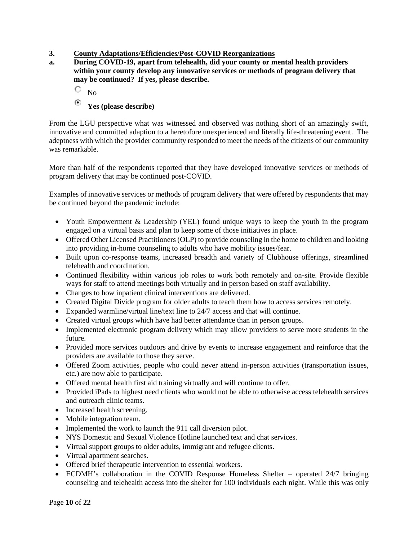# **3. County Adaptations/Efficiencies/Post-COVID Reorganizations**

- **a. During COVID-19, apart from telehealth, did your county or mental health providers within your county develop any innovative services or methods of program delivery that may be continued? If yes, please describe.**
	- О  $N_{\Omega}$
	- $\odot$ **Yes (please describe)**

From the LGU perspective what was witnessed and observed was nothing short of an amazingly swift, innovative and committed adaption to a heretofore unexperienced and literally life-threatening event. The adeptness with which the provider community responded to meet the needs of the citizens of our community was remarkable.

More than half of the respondents reported that they have developed innovative services or methods of program delivery that may be continued post-COVID.

Examples of innovative services or methods of program delivery that were offered by respondents that may be continued beyond the pandemic include:

- Youth Empowerment & Leadership (YEL) found unique ways to keep the youth in the program engaged on a virtual basis and plan to keep some of those initiatives in place.
- Offered Other Licensed Practitioners (OLP) to provide counseling in the home to children and looking into providing in-home counseling to adults who have mobility issues/fear.
- Built upon co-response teams, increased breadth and variety of Clubhouse offerings, streamlined telehealth and coordination.
- Continued flexibility within various job roles to work both remotely and on-site. Provide flexible ways for staff to attend meetings both virtually and in person based on staff availability.
- Changes to how inpatient clinical interventions are delivered.
- Created Digital Divide program for older adults to teach them how to access services remotely.
- Expanded warmline/virtual line/text line to 24/7 access and that will continue.
- Created virtual groups which have had better attendance than in person groups.
- Implemented electronic program delivery which may allow providers to serve more students in the future.
- Provided more services outdoors and drive by events to increase engagement and reinforce that the providers are available to those they serve.
- Offered Zoom activities, people who could never attend in-person activities (transportation issues, etc.) are now able to participate.
- Offered mental health first aid training virtually and will continue to offer.
- Provided iPads to highest need clients who would not be able to otherwise access telehealth services and outreach clinic teams.
- Increased health screening.
- Mobile integration team.
- Implemented the work to launch the 911 call diversion pilot.
- NYS Domestic and Sexual Violence Hotline launched text and chat services.
- Virtual support groups to older adults, immigrant and refugee clients.
- Virtual apartment searches.
- Offered brief therapeutic intervention to essential workers.
- ECDMH's collaboration in the COVID Response Homeless Shelter operated 24/7 bringing counseling and telehealth access into the shelter for 100 individuals each night. While this was only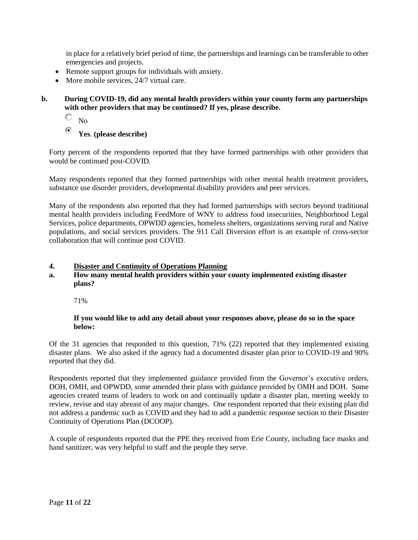in place for a relatively brief period of time, the partnerships and learnings can be transferable to other emergencies and projects.

- Remote support groups for individuals with anxiety.
- More mobile services, 24/7 virtual care.

# **b. During COVID-19, did any mental health providers within your county form any partnerships with other providers that may be continued? If yes, please describe.**

О No

Θ **Yes**. **(please describe)**

Forty percent of the respondents reported that they have formed partnerships with other providers that would be continued post-COVID.

Many respondents reported that they formed partnerships with other mental health treatment providers, substance use disorder providers, developmental disability providers and peer services.

Many of the respondents also reported that they had formed partnerships with sectors beyond traditional mental health providers including FeedMore of WNY to address food insecurities, Neighborhood Legal Services, police departments, OPWDD agencies, homeless shelters, organizations serving rural and Native populations, and social services providers. The 911 Call Diversion effort is an example of cross-sector collaboration that will continue post COVID.

#### **4. Disaster and Continuity of Operations Planning**

## **a. How many mental health providers within your county implemented existing disaster plans?**

71%

## **If you would like to add any detail about your responses above, please do so in the space below:**

Of the 31 agencies that responded to this question, 71% (22) reported that they implemented existing disaster plans. We also asked if the agency had a documented disaster plan prior to COVID-19 and 90% reported that they did.

Respondents reported that they implemented guidance provided from the Governor's executive orders, DOH, OMH, and OPWDD, some amended their plans with guidance provided by OMH and DOH. Some agencies created teams of leaders to work on and continually update a disaster plan, meeting weekly to review, revise and stay abreast of any major changes. One respondent reported that their existing plan did not address a pandemic such as COVID and they had to add a pandemic response section to their Disaster Continuity of Operations Plan (DCOOP).

A couple of respondents reported that the PPE they received from Erie County, including face masks and hand sanitizer, was very helpful to staff and the people they serve.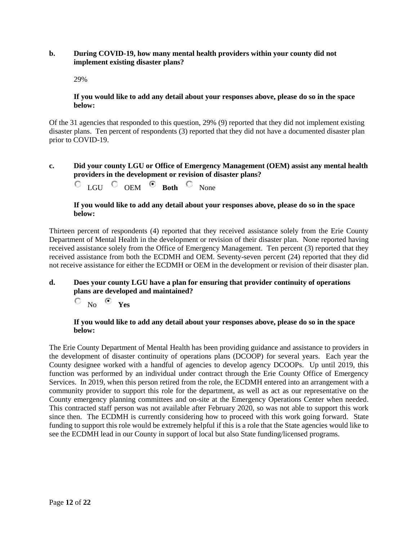#### **b. During COVID-19, how many mental health providers within your county did not implement existing disaster plans?**

29%

## **If you would like to add any detail about your responses above, please do so in the space below:**

Of the 31 agencies that responded to this question, 29% (9) reported that they did not implement existing disaster plans. Ten percent of respondents (3) reported that they did not have a documented disaster plan prior to COVID-19.

# **c. Did your county LGU or Office of Emergency Management (OEM) assist any mental health providers in the development or revision of disaster plans?**

C LGU <sup>C</sup> OEM <sup>C</sup> Both <sup>C</sup> None

## **If you would like to add any detail about your responses above, please do so in the space below:**

Thirteen percent of respondents (4) reported that they received assistance solely from the Erie County Department of Mental Health in the development or revision of their disaster plan. None reported having received assistance solely from the Office of Emergency Management. Ten percent (3) reported that they received assistance from both the ECDMH and OEM. Seventy-seven percent (24) reported that they did not receive assistance for either the ECDMH or OEM in the development or revision of their disaster plan.

## **d. Does your county LGU have a plan for ensuring that provider continuity of operations plans are developed and maintained?**

О. No **Yes**

# **If you would like to add any detail about your responses above, please do so in the space below:**

The Erie County Department of Mental Health has been providing guidance and assistance to providers in the development of disaster continuity of operations plans (DCOOP) for several years. Each year the County designee worked with a handful of agencies to develop agency DCOOPs. Up until 2019, this function was performed by an individual under contract through the Erie County Office of Emergency Services. In 2019, when this person retired from the role, the ECDMH entered into an arrangement with a community provider to support this role for the department, as well as act as our representative on the County emergency planning committees and on-site at the Emergency Operations Center when needed. This contracted staff person was not available after February 2020, so was not able to support this work since then. The ECDMH is currently considering how to proceed with this work going forward. State funding to support this role would be extremely helpful if this is a role that the State agencies would like to see the ECDMH lead in our County in support of local but also State funding/licensed programs.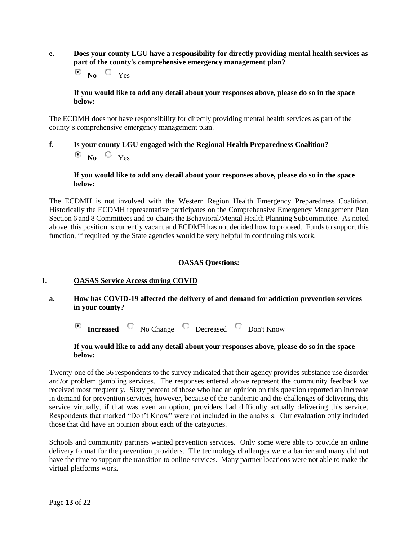**e. Does your county LGU have a responsibility for directly providing mental health services as part of the county's comprehensive emergency management plan?**

⊙ **No** Yes

**If you would like to add any detail about your responses above, please do so in the space below:**

The ECDMH does not have responsibility for directly providing mental health services as part of the county's comprehensive emergency management plan.

**f. Is your county LGU engaged with the Regional Health Preparedness Coalition? No** Yes

## **If you would like to add any detail about your responses above, please do so in the space below:**

The ECDMH is not involved with the Western Region Health Emergency Preparedness Coalition. Historically the ECDMH representative participates on the Comprehensive Emergency Management Plan Section 6 and 8 Committees and co-chairs the Behavioral/Mental Health Planning Subcommittee. As noted above, this position is currently vacant and ECDMH has not decided how to proceed. Funds to support this function, if required by the State agencies would be very helpful in continuing this work.

# **OASAS Questions:**

# **1. OASAS Service Access during COVID**

**a. How has COVID-19 affected the delivery of and demand for addiction prevention services in your county?**

**Increased** C No Change C Decreased C Don't Know

## **If you would like to add any detail about your responses above, please do so in the space below:**

Twenty-one of the 56 respondents to the survey indicated that their agency provides substance use disorder and/or problem gambling services. The responses entered above represent the community feedback we received most frequently. Sixty percent of those who had an opinion on this question reported an increase in demand for prevention services, however, because of the pandemic and the challenges of delivering this service virtually, if that was even an option, providers had difficulty actually delivering this service. Respondents that marked "Don't Know" were not included in the analysis. Our evaluation only included those that did have an opinion about each of the categories.

Schools and community partners wanted prevention services. Only some were able to provide an online delivery format for the prevention providers. The technology challenges were a barrier and many did not have the time to support the transition to online services. Many partner locations were not able to make the virtual platforms work.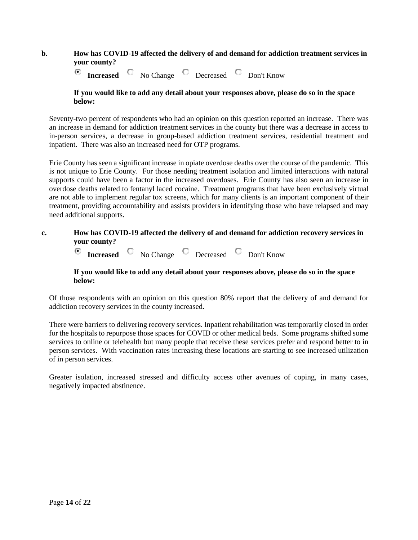## **b. How has COVID-19 affected the delivery of and demand for addiction treatment services in your county?**

 $\odot$ **Increased**  $\circledcirc$  No Change  $\circledcirc$  Decreased  $\circledcirc$  Don't Know

#### **If you would like to add any detail about your responses above, please do so in the space below:**

Seventy-two percent of respondents who had an opinion on this question reported an increase. There was an increase in demand for addiction treatment services in the county but there was a decrease in access to in-person services, a decrease in group-based addiction treatment services, residential treatment and inpatient. There was also an increased need for OTP programs.

Erie County has seen a significant increase in opiate overdose deaths over the course of the pandemic. This is not unique to Erie County. For those needing treatment isolation and limited interactions with natural supports could have been a factor in the increased overdoses. Erie County has also seen an increase in overdose deaths related to fentanyl laced cocaine. Treatment programs that have been exclusively virtual are not able to implement regular tox screens, which for many clients is an important component of their treatment, providing accountability and assists providers in identifying those who have relapsed and may need additional supports.

# **c. How has COVID-19 affected the delivery of and demand for addiction recovery services in your county?**

**Increased** C No Change C Decreased C Don't Know ⊙

## **If you would like to add any detail about your responses above, please do so in the space below:**

Of those respondents with an opinion on this question 80% report that the delivery of and demand for addiction recovery services in the county increased.

There were barriers to delivering recovery services. Inpatient rehabilitation was temporarily closed in order for the hospitals to repurpose those spaces for COVID or other medical beds. Some programs shifted some services to online or telehealth but many people that receive these services prefer and respond better to in person services. With vaccination rates increasing these locations are starting to see increased utilization of in person services.

Greater isolation, increased stressed and difficulty access other avenues of coping, in many cases, negatively impacted abstinence.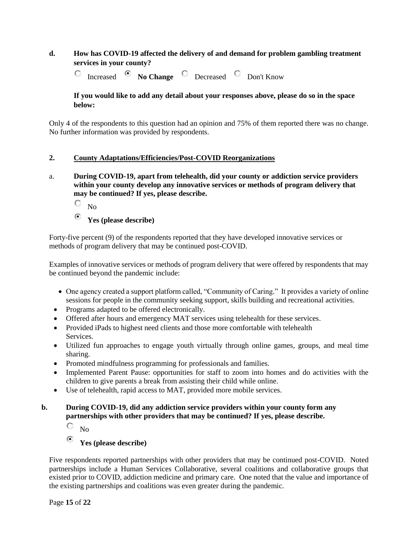# **d. How has COVID-19 affected the delivery of and demand for problem gambling treatment services in your county?**

Increased **C** No Change C Decreased C Don't Know O

# **If you would like to add any detail about your responses above, please do so in the space below:**

Only 4 of the respondents to this question had an opinion and 75% of them reported there was no change. No further information was provided by respondents.

# **2. County Adaptations/Efficiencies/Post-COVID Reorganizations**

- a. **During COVID-19, apart from telehealth, did your county or addiction service providers within your county develop any innovative services or methods of program delivery that may be continued? If yes, please describe.** 
	- О  $N<sub>0</sub>$
	- $\odot$ **Yes (please describe)**

Forty-five percent (9) of the respondents reported that they have developed innovative services or methods of program delivery that may be continued post-COVID.

Examples of innovative services or methods of program delivery that were offered by respondents that may be continued beyond the pandemic include:

- One agency created a support platform called, "Community of Caring." It provides a variety of online sessions for people in the community seeking support, skills building and recreational activities.
- Programs adapted to be offered electronically.
- Offered after hours and emergency MAT services using telehealth for these services.
- Provided iPads to highest need clients and those more comfortable with telehealth Services.
- Utilized fun approaches to engage youth virtually through online games, groups, and meal time sharing.
- Promoted mindfulness programming for professionals and families.
- Implemented Parent Pause: opportunities for staff to zoom into homes and do activities with the children to give parents a break from assisting their child while online.
- Use of telehealth, rapid access to MAT, provided more mobile services.

# **b. During COVID-19, did any addiction service providers within your county form any partnerships with other providers that may be continued? If yes, please describe.**

О  $N<sub>0</sub>$ 

#### $\odot$ **Yes (please describe)**

Five respondents reported partnerships with other providers that may be continued post-COVID. Noted partnerships include a Human Services Collaborative, several coalitions and collaborative groups that existed prior to COVID, addiction medicine and primary care. One noted that the value and importance of the existing partnerships and coalitions was even greater during the pandemic.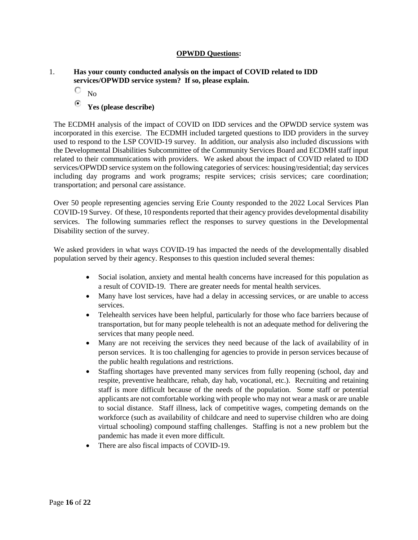## **OPWDD Questions:**

## 1. **Has your county conducted analysis on the impact of COVID related to IDD services/OPWDD service system? If so, please explain.**

О No

#### Θ **Yes (please describe)**

The ECDMH analysis of the impact of COVID on IDD services and the OPWDD service system was incorporated in this exercise. The ECDMH included targeted questions to IDD providers in the survey used to respond to the LSP COVID-19 survey. In addition, our analysis also included discussions with the Developmental Disabilities Subcommittee of the Community Services Board and ECDMH staff input related to their communications with providers. We asked about the impact of COVID related to IDD services/OPWDD service system on the following categories of services: housing/residential; day services including day programs and work programs; respite services; crisis services; care coordination; transportation; and personal care assistance.

Over 50 people representing agencies serving Erie County responded to the 2022 Local Services Plan COVID-19 Survey. Of these, 10 respondents reported that their agency provides developmental disability services. The following summaries reflect the responses to survey questions in the Developmental Disability section of the survey.

We asked providers in what ways COVID-19 has impacted the needs of the developmentally disabled population served by their agency. Responses to this question included several themes:

- Social isolation, anxiety and mental health concerns have increased for this population as a result of COVID-19. There are greater needs for mental health services.
- Many have lost services, have had a delay in accessing services, or are unable to access services.
- Telehealth services have been helpful, particularly for those who face barriers because of transportation, but for many people telehealth is not an adequate method for delivering the services that many people need.
- Many are not receiving the services they need because of the lack of availability of in person services. It is too challenging for agencies to provide in person services because of the public health regulations and restrictions.
- Staffing shortages have prevented many services from fully reopening (school, day and respite, preventive healthcare, rehab, day hab, vocational, etc.). Recruiting and retaining staff is more difficult because of the needs of the population. Some staff or potential applicants are not comfortable working with people who may not wear a mask or are unable to social distance. Staff illness, lack of competitive wages, competing demands on the workforce (such as availability of childcare and need to supervise children who are doing virtual schooling) compound staffing challenges. Staffing is not a new problem but the pandemic has made it even more difficult.
- There are also fiscal impacts of COVID-19.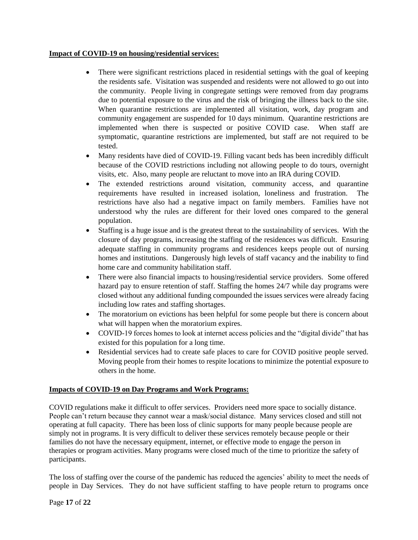## **Impact of COVID-19 on housing/residential services:**

- There were significant restrictions placed in residential settings with the goal of keeping the residents safe. Visitation was suspended and residents were not allowed to go out into the community. People living in congregate settings were removed from day programs due to potential exposure to the virus and the risk of bringing the illness back to the site. When quarantine restrictions are implemented all visitation, work, day program and community engagement are suspended for 10 days minimum. Quarantine restrictions are implemented when there is suspected or positive COVID case. When staff are symptomatic, quarantine restrictions are implemented, but staff are not required to be tested.
- Many residents have died of COVID-19. Filling vacant beds has been incredibly difficult because of the COVID restrictions including not allowing people to do tours, overnight visits, etc. Also, many people are reluctant to move into an IRA during COVID.
- The extended restrictions around visitation, community access, and quarantine requirements have resulted in increased isolation, loneliness and frustration. The restrictions have also had a negative impact on family members. Families have not understood why the rules are different for their loved ones compared to the general population.
- Staffing is a huge issue and is the greatest threat to the sustainability of services. With the closure of day programs, increasing the staffing of the residences was difficult. Ensuring adequate staffing in community programs and residences keeps people out of nursing homes and institutions. Dangerously high levels of staff vacancy and the inability to find home care and community habilitation staff.
- There were also financial impacts to housing/residential service providers. Some offered hazard pay to ensure retention of staff. Staffing the homes 24/7 while day programs were closed without any additional funding compounded the issues services were already facing including low rates and staffing shortages.
- The moratorium on evictions has been helpful for some people but there is concern about what will happen when the moratorium expires.
- COVID-19 forces homes to look at internet access policies and the "digital divide" that has existed for this population for a long time.
- Residential services had to create safe places to care for COVID positive people served. Moving people from their homes to respite locations to minimize the potential exposure to others in the home.

# **Impacts of COVID-19 on Day Programs and Work Programs:**

COVID regulations make it difficult to offer services. Providers need more space to socially distance. People can't return because they cannot wear a mask/social distance. Many services closed and still not operating at full capacity. There has been loss of clinic supports for many people because people are simply not in programs. It is very difficult to deliver these services remotely because people or their families do not have the necessary equipment, internet, or effective mode to engage the person in therapies or program activities. Many programs were closed much of the time to prioritize the safety of participants.

The loss of staffing over the course of the pandemic has reduced the agencies' ability to meet the needs of people in Day Services. They do not have sufficient staffing to have people return to programs once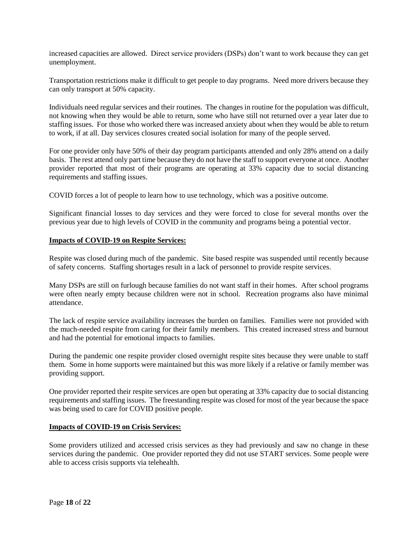increased capacities are allowed. Direct service providers (DSPs) don't want to work because they can get unemployment.

Transportation restrictions make it difficult to get people to day programs. Need more drivers because they can only transport at 50% capacity.

Individuals need regular services and their routines. The changes in routine for the population was difficult, not knowing when they would be able to return, some who have still not returned over a year later due to staffing issues. For those who worked there was increased anxiety about when they would be able to return to work, if at all. Day services closures created social isolation for many of the people served.

For one provider only have 50% of their day program participants attended and only 28% attend on a daily basis. The rest attend only part time because they do not have the staff to support everyone at once. Another provider reported that most of their programs are operating at 33% capacity due to social distancing requirements and staffing issues.

COVID forces a lot of people to learn how to use technology, which was a positive outcome.

Significant financial losses to day services and they were forced to close for several months over the previous year due to high levels of COVID in the community and programs being a potential vector.

#### **Impacts of COVID-19 on Respite Services:**

Respite was closed during much of the pandemic. Site based respite was suspended until recently because of safety concerns. Staffing shortages result in a lack of personnel to provide respite services.

Many DSPs are still on furlough because families do not want staff in their homes. After school programs were often nearly empty because children were not in school. Recreation programs also have minimal attendance.

The lack of respite service availability increases the burden on families. Families were not provided with the much-needed respite from caring for their family members. This created increased stress and burnout and had the potential for emotional impacts to families.

During the pandemic one respite provider closed overnight respite sites because they were unable to staff them. Some in home supports were maintained but this was more likely if a relative or family member was providing support.

One provider reported their respite services are open but operating at 33% capacity due to social distancing requirements and staffing issues. The freestanding respite was closed for most of the year because the space was being used to care for COVID positive people.

## **Impacts of COVID-19 on Crisis Services:**

Some providers utilized and accessed crisis services as they had previously and saw no change in these services during the pandemic. One provider reported they did not use START services. Some people were able to access crisis supports via telehealth.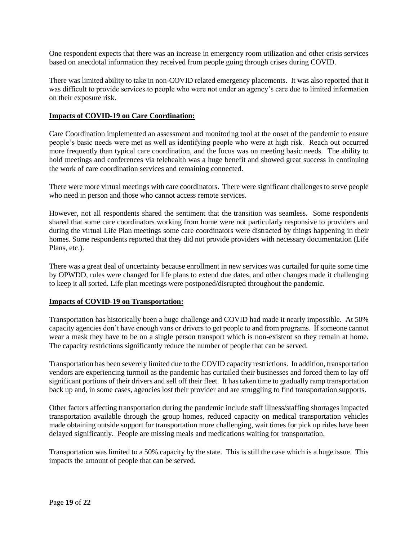One respondent expects that there was an increase in emergency room utilization and other crisis services based on anecdotal information they received from people going through crises during COVID.

There was limited ability to take in non-COVID related emergency placements. It was also reported that it was difficult to provide services to people who were not under an agency's care due to limited information on their exposure risk.

## **Impacts of COVID-19 on Care Coordination:**

Care Coordination implemented an assessment and monitoring tool at the onset of the pandemic to ensure people's basic needs were met as well as identifying people who were at high risk. Reach out occurred more frequently than typical care coordination, and the focus was on meeting basic needs. The ability to hold meetings and conferences via telehealth was a huge benefit and showed great success in continuing the work of care coordination services and remaining connected.

There were more virtual meetings with care coordinators. There were significant challenges to serve people who need in person and those who cannot access remote services.

However, not all respondents shared the sentiment that the transition was seamless. Some respondents shared that some care coordinators working from home were not particularly responsive to providers and during the virtual Life Plan meetings some care coordinators were distracted by things happening in their homes. Some respondents reported that they did not provide providers with necessary documentation (Life Plans, etc.).

There was a great deal of uncertainty because enrollment in new services was curtailed for quite some time by OPWDD, rules were changed for life plans to extend due dates, and other changes made it challenging to keep it all sorted. Life plan meetings were postponed/disrupted throughout the pandemic.

## **Impacts of COVID-19 on Transportation:**

Transportation has historically been a huge challenge and COVID had made it nearly impossible. At 50% capacity agencies don't have enough vans or drivers to get people to and from programs. If someone cannot wear a mask they have to be on a single person transport which is non-existent so they remain at home. The capacity restrictions significantly reduce the number of people that can be served.

Transportation has been severely limited due to the COVID capacity restrictions. In addition, transportation vendors are experiencing turmoil as the pandemic has curtailed their businesses and forced them to lay off significant portions of their drivers and sell off their fleet. It has taken time to gradually ramp transportation back up and, in some cases, agencies lost their provider and are struggling to find transportation supports.

Other factors affecting transportation during the pandemic include staff illness/staffing shortages impacted transportation available through the group homes, reduced capacity on medical transportation vehicles made obtaining outside support for transportation more challenging, wait times for pick up rides have been delayed significantly. People are missing meals and medications waiting for transportation.

Transportation was limited to a 50% capacity by the state. This is still the case which is a huge issue. This impacts the amount of people that can be served.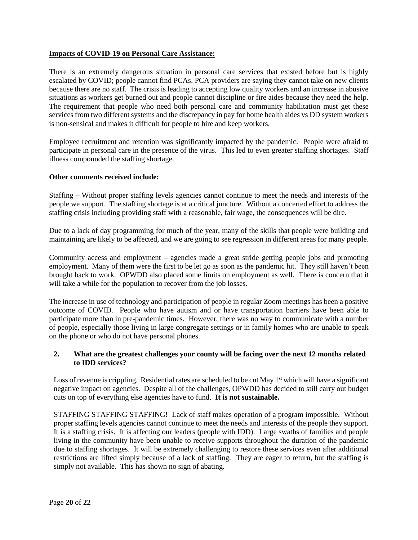## **Impacts of COVID-19 on Personal Care Assistance:**

There is an extremely dangerous situation in personal care services that existed before but is highly escalated by COVID; people cannot find PCAs. PCA providers are saying they cannot take on new clients because there are no staff. The crisis is leading to accepting low quality workers and an increase in abusive situations as workers get burned out and people cannot discipline or fire aides because they need the help. The requirement that people who need both personal care and community habilitation must get these services from two different systems and the discrepancy in pay for home health aides vs DD system workers is non-sensical and makes it difficult for people to hire and keep workers.

Employee recruitment and retention was significantly impacted by the pandemic. People were afraid to participate in personal care in the presence of the virus. This led to even greater staffing shortages. Staff illness compounded the staffing shortage.

## **Other comments received include:**

Staffing – Without proper staffing levels agencies cannot continue to meet the needs and interests of the people we support. The staffing shortage is at a critical juncture. Without a concerted effort to address the staffing crisis including providing staff with a reasonable, fair wage, the consequences will be dire.

Due to a lack of day programming for much of the year, many of the skills that people were building and maintaining are likely to be affected, and we are going to see regression in different areas for many people.

Community access and employment – agencies made a great stride getting people jobs and promoting employment. Many of them were the first to be let go as soon as the pandemic hit. They still haven't been brought back to work. OPWDD also placed some limits on employment as well. There is concern that it will take a while for the population to recover from the job losses.

The increase in use of technology and participation of people in regular Zoom meetings has been a positive outcome of COVID. People who have autism and or have transportation barriers have been able to participate more than in pre-pandemic times. However, there was no way to communicate with a number of people, especially those living in large congregate settings or in family homes who are unable to speak on the phone or who do not have personal phones.

# **2. What are the greatest challenges your county will be facing over the next 12 months related to IDD services?**

Loss of revenue is crippling. Residential rates are scheduled to be cut May  $1<sup>st</sup>$  which will have a significant negative impact on agencies. Despite all of the challenges, OPWDD has decided to still carry out budget cuts on top of everything else agencies have to fund. **It is not sustainable.**

STAFFING STAFFING STAFFING! Lack of staff makes operation of a program impossible. Without proper staffing levels agencies cannot continue to meet the needs and interests of the people they support. It is a staffing crisis. It is affecting our leaders (people with IDD). Large swaths of families and people living in the community have been unable to receive supports throughout the duration of the pandemic due to staffing shortages. It will be extremely challenging to restore these services even after additional restrictions are lifted simply because of a lack of staffing. They are eager to return, but the staffing is simply not available. This has shown no sign of abating.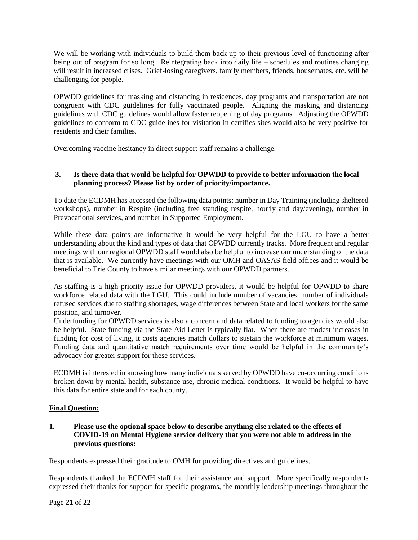We will be working with individuals to build them back up to their previous level of functioning after being out of program for so long. Reintegrating back into daily life – schedules and routines changing will result in increased crises. Grief-losing caregivers, family members, friends, housemates, etc. will be challenging for people.

OPWDD guidelines for masking and distancing in residences, day programs and transportation are not congruent with CDC guidelines for fully vaccinated people. Aligning the masking and distancing guidelines with CDC guidelines would allow faster reopening of day programs. Adjusting the OPWDD guidelines to conform to CDC guidelines for visitation in certifies sites would also be very positive for residents and their families.

Overcoming vaccine hesitancy in direct support staff remains a challenge.

# **3. Is there data that would be helpful for OPWDD to provide to better information the local planning process? Please list by order of priority/importance.**

To date the ECDMH has accessed the following data points: number in Day Training (including sheltered workshops), number in Respite (including free standing respite, hourly and day/evening), number in Prevocational services, and number in Supported Employment.

While these data points are informative it would be very helpful for the LGU to have a better understanding about the kind and types of data that OPWDD currently tracks. More frequent and regular meetings with our regional OPWDD staff would also be helpful to increase our understanding of the data that is available. We currently have meetings with our OMH and OASAS field offices and it would be beneficial to Erie County to have similar meetings with our OPWDD partners.

As staffing is a high priority issue for OPWDD providers, it would be helpful for OPWDD to share workforce related data with the LGU. This could include number of vacancies, number of individuals refused services due to staffing shortages, wage differences between State and local workers for the same position, and turnover.

Underfunding for OPWDD services is also a concern and data related to funding to agencies would also be helpful. State funding via the State Aid Letter is typically flat. When there are modest increases in funding for cost of living, it costs agencies match dollars to sustain the workforce at minimum wages. Funding data and quantitative match requirements over time would be helpful in the community's advocacy for greater support for these services.

ECDMH is interested in knowing how many individuals served by OPWDD have co-occurring conditions broken down by mental health, substance use, chronic medical conditions. It would be helpful to have this data for entire state and for each county.

# **Final Question:**

## **1. Please use the optional space below to describe anything else related to the effects of COVID-19 on Mental Hygiene service delivery that you were not able to address in the previous questions:**

Respondents expressed their gratitude to OMH for providing directives and guidelines.

Respondents thanked the ECDMH staff for their assistance and support. More specifically respondents expressed their thanks for support for specific programs, the monthly leadership meetings throughout the